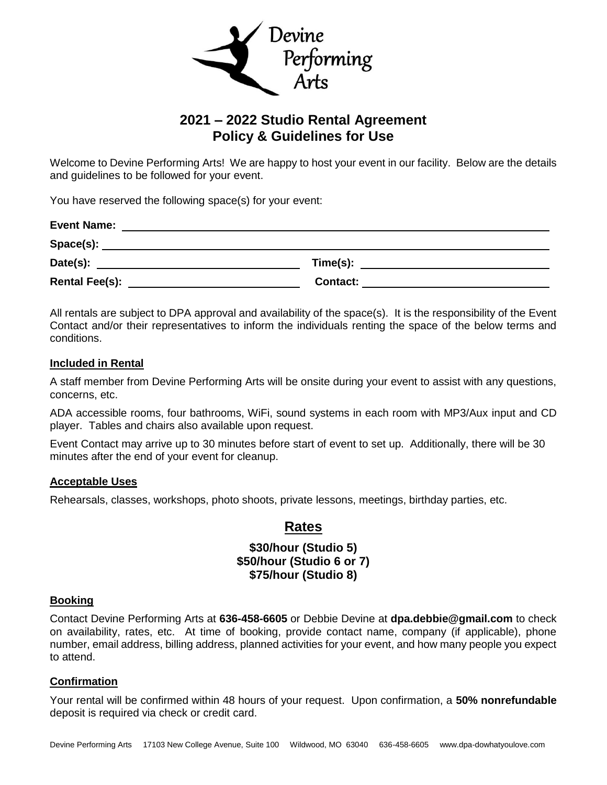

# **2021 – 2022 Studio Rental Agreement Policy & Guidelines for Use**

Welcome to Devine Performing Arts! We are happy to host your event in our facility. Below are the details and guidelines to be followed for your event.

You have reserved the following space(s) for your event:

| <b>Event Name:</b>    |                 |  |
|-----------------------|-----------------|--|
| Space(s):             |                 |  |
| Date(s):              | Time(s):        |  |
| <b>Rental Fee(s):</b> | <b>Contact:</b> |  |

All rentals are subject to DPA approval and availability of the space(s). It is the responsibility of the Event Contact and/or their representatives to inform the individuals renting the space of the below terms and conditions.

## **Included in Rental**

A staff member from Devine Performing Arts will be onsite during your event to assist with any questions, concerns, etc.

ADA accessible rooms, four bathrooms, WiFi, sound systems in each room with MP3/Aux input and CD player. Tables and chairs also available upon request.

Event Contact may arrive up to 30 minutes before start of event to set up. Additionally, there will be 30 minutes after the end of your event for cleanup.

## **Acceptable Uses**

Rehearsals, classes, workshops, photo shoots, private lessons, meetings, birthday parties, etc.

# **Rates**

# **\$30/hour (Studio 5) \$50/hour (Studio 6 or 7) \$75/hour (Studio 8)**

### **Booking**

Contact Devine Performing Arts at **636-458-6605** or Debbie Devine at **[dpa.debbie@gmail.com](mailto:dpa.debbie@gmail.com)** to check on availability, rates, etc. At time of booking, provide contact name, company (if applicable), phone number, email address, billing address, planned activities for your event, and how many people you expect to attend.

## **Confirmation**

Your rental will be confirmed within 48 hours of your request. Upon confirmation, a **50% nonrefundable** deposit is required via check or credit card.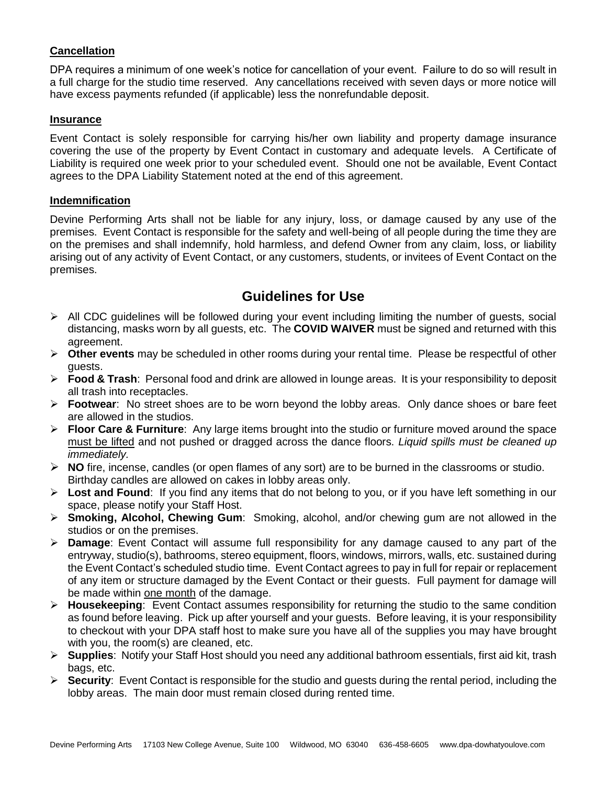# **Cancellation**

DPA requires a minimum of one week's notice for cancellation of your event. Failure to do so will result in a full charge for the studio time reserved. Any cancellations received with seven days or more notice will have excess payments refunded (if applicable) less the nonrefundable deposit.

### **Insurance**

Event Contact is solely responsible for carrying his/her own liability and property damage insurance covering the use of the property by Event Contact in customary and adequate levels. A Certificate of Liability is required one week prior to your scheduled event. Should one not be available, Event Contact agrees to the DPA Liability Statement noted at the end of this agreement.

### **Indemnification**

Devine Performing Arts shall not be liable for any injury, loss, or damage caused by any use of the premises. Event Contact is responsible for the safety and well-being of all people during the time they are on the premises and shall indemnify, hold harmless, and defend Owner from any claim, loss, or liability arising out of any activity of Event Contact, or any customers, students, or invitees of Event Contact on the premises.

# **Guidelines for Use**

- $\triangleright$  All CDC guidelines will be followed during your event including limiting the number of guests, social distancing, masks worn by all guests, etc. The **COVID WAIVER** must be signed and returned with this agreement.
- **Other events** may be scheduled in other rooms during your rental time. Please be respectful of other guests.
- **Food & Trash**: Personal food and drink are allowed in lounge areas. It is your responsibility to deposit all trash into receptacles.
- **Footwear**: No street shoes are to be worn beyond the lobby areas. Only dance shoes or bare feet are allowed in the studios.
- **Floor Care & Furniture**: Any large items brought into the studio or furniture moved around the space must be lifted and not pushed or dragged across the dance floors. *Liquid spills must be cleaned up immediately.*
- **NO** fire, incense, candles (or open flames of any sort) are to be burned in the classrooms or studio. Birthday candles are allowed on cakes in lobby areas only.
- **Lost and Found**: If you find any items that do not belong to you, or if you have left something in our space, please notify your Staff Host.
- **Smoking, Alcohol, Chewing Gum**: Smoking, alcohol, and/or chewing gum are not allowed in the studios or on the premises.
- **Damage**: Event Contact will assume full responsibility for any damage caused to any part of the entryway, studio(s), bathrooms, stereo equipment, floors, windows, mirrors, walls, etc. sustained during the Event Contact's scheduled studio time. Event Contact agrees to pay in full for repair or replacement of any item or structure damaged by the Event Contact or their guests. Full payment for damage will be made within one month of the damage.
- **Housekeeping**: Event Contact assumes responsibility for returning the studio to the same condition as found before leaving. Pick up after yourself and your guests. Before leaving, it is your responsibility to checkout with your DPA staff host to make sure you have all of the supplies you may have brought with you, the room(s) are cleaned, etc.
- **Supplies**: Notify your Staff Host should you need any additional bathroom essentials, first aid kit, trash bags, etc.
- **Security**: Event Contact is responsible for the studio and guests during the rental period, including the lobby areas. The main door must remain closed during rented time.